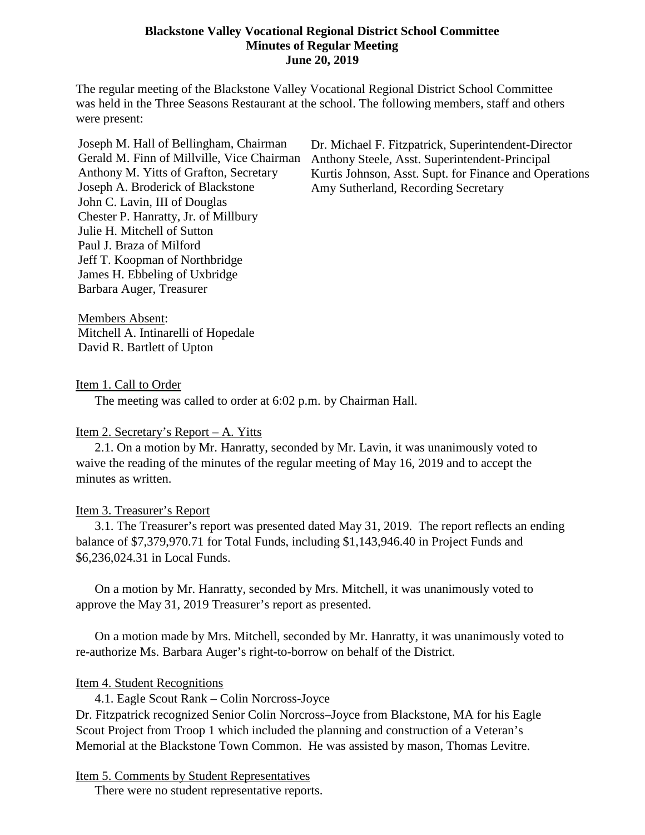### **Blackstone Valley Vocational Regional District School Committee Minutes of Regular Meeting June 20, 2019**

The regular meeting of the Blackstone Valley Vocational Regional District School Committee was held in the Three Seasons Restaurant at the school. The following members, staff and others were present:

Joseph M. Hall of Bellingham, Chairman Gerald M. Finn of Millville, Vice Chairman Anthony M. Yitts of Grafton, Secretary Joseph A. Broderick of Blackstone John C. Lavin, III of Douglas Chester P. Hanratty, Jr. of Millbury Julie H. Mitchell of Sutton Paul J. Braza of Milford Jeff T. Koopman of Northbridge James H. Ebbeling of Uxbridge Barbara Auger, Treasurer

Dr. Michael F. Fitzpatrick, Superintendent-Director Anthony Steele, Asst. Superintendent-Principal Kurtis Johnson, Asst. Supt. for Finance and Operations Amy Sutherland, Recording Secretary

Members Absent: Mitchell A. Intinarelli of Hopedale David R. Bartlett of Upton

Item 1. Call to Order

The meeting was called to order at 6:02 p.m. by Chairman Hall.

#### Item 2. Secretary's Report – A. Yitts

2.1. On a motion by Mr. Hanratty, seconded by Mr. Lavin, it was unanimously voted to waive the reading of the minutes of the regular meeting of May 16, 2019 and to accept the minutes as written.

#### Item 3. Treasurer's Report

3.1. The Treasurer's report was presented dated May 31, 2019. The report reflects an ending balance of \$7,379,970.71 for Total Funds, including \$1,143,946.40 in Project Funds and \$6,236,024.31 in Local Funds.

On a motion by Mr. Hanratty, seconded by Mrs. Mitchell, it was unanimously voted to approve the May 31, 2019 Treasurer's report as presented.

On a motion made by Mrs. Mitchell, seconded by Mr. Hanratty, it was unanimously voted to re-authorize Ms. Barbara Auger's right-to-borrow on behalf of the District.

#### Item 4. Student Recognitions

4.1. Eagle Scout Rank – Colin Norcross-Joyce

Dr. Fitzpatrick recognized Senior Colin Norcross–Joyce from Blackstone, MA for his Eagle Scout Project from Troop 1 which included the planning and construction of a Veteran's Memorial at the Blackstone Town Common. He was assisted by mason, Thomas Levitre.

Item 5. Comments by Student Representatives

There were no student representative reports.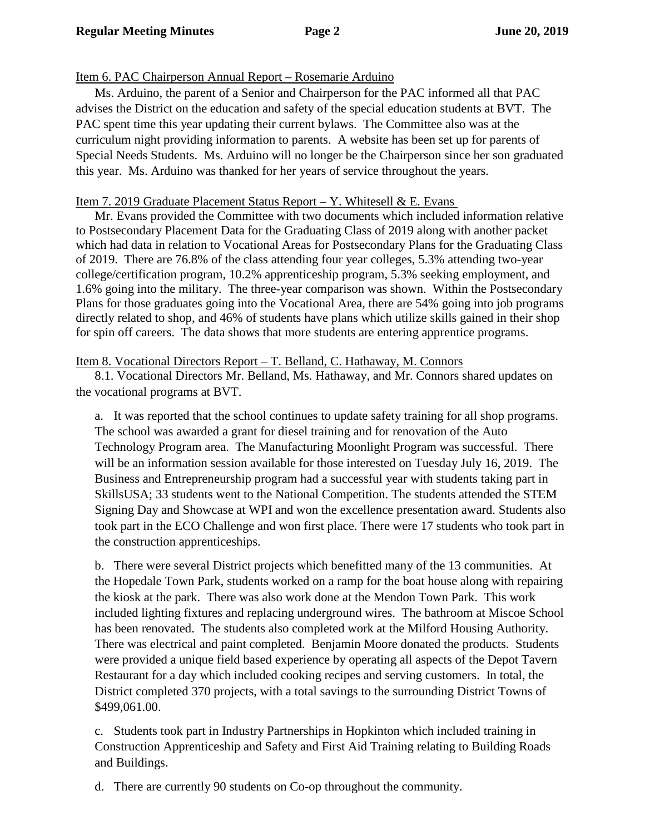# Item 6. PAC Chairperson Annual Report – Rosemarie Arduino

Ms. Arduino, the parent of a Senior and Chairperson for the PAC informed all that PAC advises the District on the education and safety of the special education students at BVT. The PAC spent time this year updating their current bylaws. The Committee also was at the curriculum night providing information to parents. A website has been set up for parents of Special Needs Students. Ms. Arduino will no longer be the Chairperson since her son graduated this year. Ms. Arduino was thanked for her years of service throughout the years.

# Item 7. 2019 Graduate Placement Status Report – Y. Whitesell & E. Evans

Mr. Evans provided the Committee with two documents which included information relative to Postsecondary Placement Data for the Graduating Class of 2019 along with another packet which had data in relation to Vocational Areas for Postsecondary Plans for the Graduating Class of 2019. There are 76.8% of the class attending four year colleges, 5.3% attending two-year college/certification program, 10.2% apprenticeship program, 5.3% seeking employment, and 1.6% going into the military. The three-year comparison was shown. Within the Postsecondary Plans for those graduates going into the Vocational Area, there are 54% going into job programs directly related to shop, and 46% of students have plans which utilize skills gained in their shop for spin off careers. The data shows that more students are entering apprentice programs.

## Item 8. Vocational Directors Report – T. Belland, C. Hathaway, M. Connors

8.1. Vocational Directors Mr. Belland, Ms. Hathaway, and Mr. Connors shared updates on the vocational programs at BVT.

a. It was reported that the school continues to update safety training for all shop programs. The school was awarded a grant for diesel training and for renovation of the Auto Technology Program area. The Manufacturing Moonlight Program was successful. There will be an information session available for those interested on Tuesday July 16, 2019. The Business and Entrepreneurship program had a successful year with students taking part in SkillsUSA; 33 students went to the National Competition. The students attended the STEM Signing Day and Showcase at WPI and won the excellence presentation award. Students also took part in the ECO Challenge and won first place. There were 17 students who took part in the construction apprenticeships.

b. There were several District projects which benefitted many of the 13 communities. At the Hopedale Town Park, students worked on a ramp for the boat house along with repairing the kiosk at the park. There was also work done at the Mendon Town Park. This work included lighting fixtures and replacing underground wires. The bathroom at Miscoe School has been renovated. The students also completed work at the Milford Housing Authority. There was electrical and paint completed. Benjamin Moore donated the products. Students were provided a unique field based experience by operating all aspects of the Depot Tavern Restaurant for a day which included cooking recipes and serving customers. In total, the District completed 370 projects, with a total savings to the surrounding District Towns of \$499,061.00.

c. Students took part in Industry Partnerships in Hopkinton which included training in Construction Apprenticeship and Safety and First Aid Training relating to Building Roads and Buildings.

d. There are currently 90 students on Co-op throughout the community.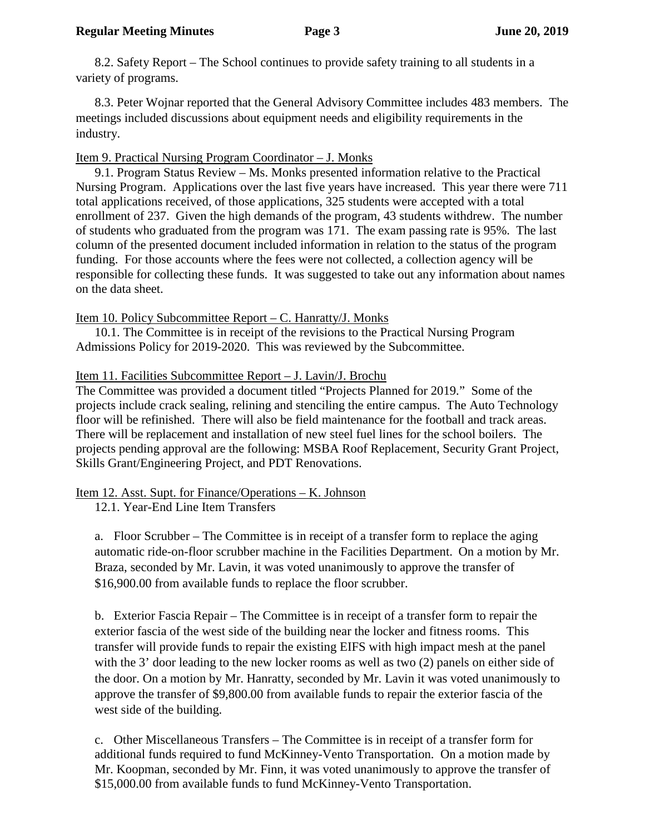8.2. Safety Report – The School continues to provide safety training to all students in a variety of programs.

8.3. Peter Wojnar reported that the General Advisory Committee includes 483 members. The meetings included discussions about equipment needs and eligibility requirements in the industry.

# Item 9. Practical Nursing Program Coordinator – J. Monks

9.1. Program Status Review – Ms. Monks presented information relative to the Practical Nursing Program. Applications over the last five years have increased. This year there were 711 total applications received, of those applications, 325 students were accepted with a total enrollment of 237. Given the high demands of the program, 43 students withdrew. The number of students who graduated from the program was 171. The exam passing rate is 95%. The last column of the presented document included information in relation to the status of the program funding. For those accounts where the fees were not collected, a collection agency will be responsible for collecting these funds. It was suggested to take out any information about names on the data sheet.

Item 10. Policy Subcommittee Report – C. Hanratty/J. Monks

10.1. The Committee is in receipt of the revisions to the Practical Nursing Program Admissions Policy for 2019-2020. This was reviewed by the Subcommittee.

# Item 11. Facilities Subcommittee Report – J. Lavin/J. Brochu

The Committee was provided a document titled "Projects Planned for 2019." Some of the projects include crack sealing, relining and stenciling the entire campus. The Auto Technology floor will be refinished. There will also be field maintenance for the football and track areas. There will be replacement and installation of new steel fuel lines for the school boilers. The projects pending approval are the following: MSBA Roof Replacement, Security Grant Project, Skills Grant/Engineering Project, and PDT Renovations.

# Item 12. Asst. Supt. for Finance/Operations – K. Johnson

12.1. Year-End Line Item Transfers

a. Floor Scrubber – The Committee is in receipt of a transfer form to replace the aging automatic ride-on-floor scrubber machine in the Facilities Department. On a motion by Mr. Braza, seconded by Mr. Lavin, it was voted unanimously to approve the transfer of \$16,900.00 from available funds to replace the floor scrubber.

b. Exterior Fascia Repair – The Committee is in receipt of a transfer form to repair the exterior fascia of the west side of the building near the locker and fitness rooms. This transfer will provide funds to repair the existing EIFS with high impact mesh at the panel with the 3' door leading to the new locker rooms as well as two (2) panels on either side of the door. On a motion by Mr. Hanratty, seconded by Mr. Lavin it was voted unanimously to approve the transfer of \$9,800.00 from available funds to repair the exterior fascia of the west side of the building.

c. Other Miscellaneous Transfers – The Committee is in receipt of a transfer form for additional funds required to fund McKinney-Vento Transportation. On a motion made by Mr. Koopman, seconded by Mr. Finn, it was voted unanimously to approve the transfer of \$15,000.00 from available funds to fund McKinney-Vento Transportation.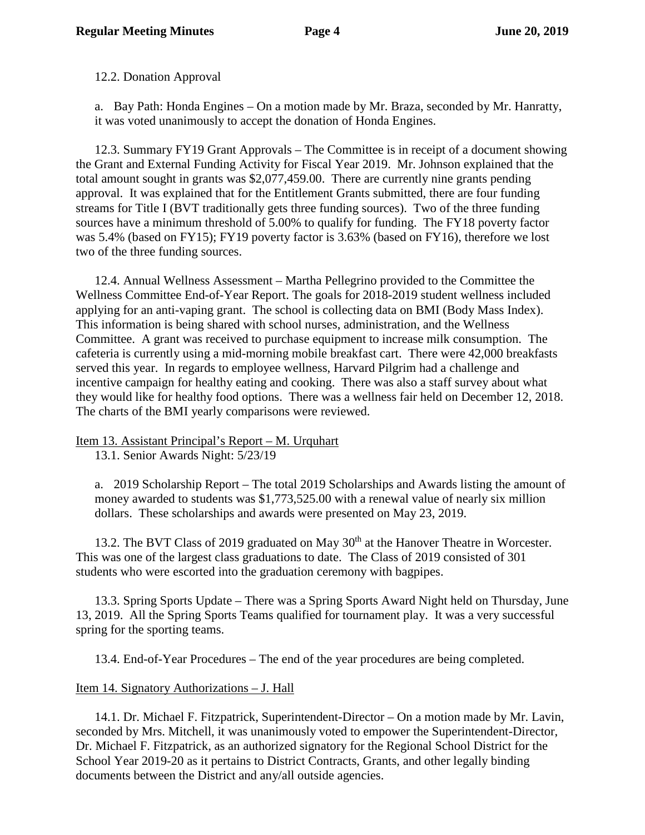12.2. Donation Approval

a. Bay Path: Honda Engines – On a motion made by Mr. Braza, seconded by Mr. Hanratty, it was voted unanimously to accept the donation of Honda Engines.

12.3. Summary FY19 Grant Approvals – The Committee is in receipt of a document showing the Grant and External Funding Activity for Fiscal Year 2019. Mr. Johnson explained that the total amount sought in grants was \$2,077,459.00. There are currently nine grants pending approval. It was explained that for the Entitlement Grants submitted, there are four funding streams for Title I (BVT traditionally gets three funding sources). Two of the three funding sources have a minimum threshold of 5.00% to qualify for funding. The FY18 poverty factor was 5.4% (based on FY15); FY19 poverty factor is 3.63% (based on FY16), therefore we lost two of the three funding sources.

12.4. Annual Wellness Assessment – Martha Pellegrino provided to the Committee the Wellness Committee End-of-Year Report. The goals for 2018-2019 student wellness included applying for an anti-vaping grant. The school is collecting data on BMI (Body Mass Index). This information is being shared with school nurses, administration, and the Wellness Committee. A grant was received to purchase equipment to increase milk consumption. The cafeteria is currently using a mid-morning mobile breakfast cart. There were 42,000 breakfasts served this year. In regards to employee wellness, Harvard Pilgrim had a challenge and incentive campaign for healthy eating and cooking. There was also a staff survey about what they would like for healthy food options. There was a wellness fair held on December 12, 2018. The charts of the BMI yearly comparisons were reviewed.

## Item 13. Assistant Principal's Report – M. Urquhart

13.1. Senior Awards Night: 5/23/19

a. 2019 Scholarship Report – The total 2019 Scholarships and Awards listing the amount of money awarded to students was \$1,773,525.00 with a renewal value of nearly six million dollars. These scholarships and awards were presented on May 23, 2019.

13.2. The BVT Class of 2019 graduated on May 30<sup>th</sup> at the Hanover Theatre in Worcester. This was one of the largest class graduations to date. The Class of 2019 consisted of 301 students who were escorted into the graduation ceremony with bagpipes.

13.3. Spring Sports Update – There was a Spring Sports Award Night held on Thursday, June 13, 2019. All the Spring Sports Teams qualified for tournament play. It was a very successful spring for the sporting teams.

13.4. End-of-Year Procedures – The end of the year procedures are being completed.

# Item 14. Signatory Authorizations – J. Hall

14.1. Dr. Michael F. Fitzpatrick, Superintendent-Director – On a motion made by Mr. Lavin, seconded by Mrs. Mitchell, it was unanimously voted to empower the Superintendent-Director, Dr. Michael F. Fitzpatrick, as an authorized signatory for the Regional School District for the School Year 2019-20 as it pertains to District Contracts, Grants, and other legally binding documents between the District and any/all outside agencies.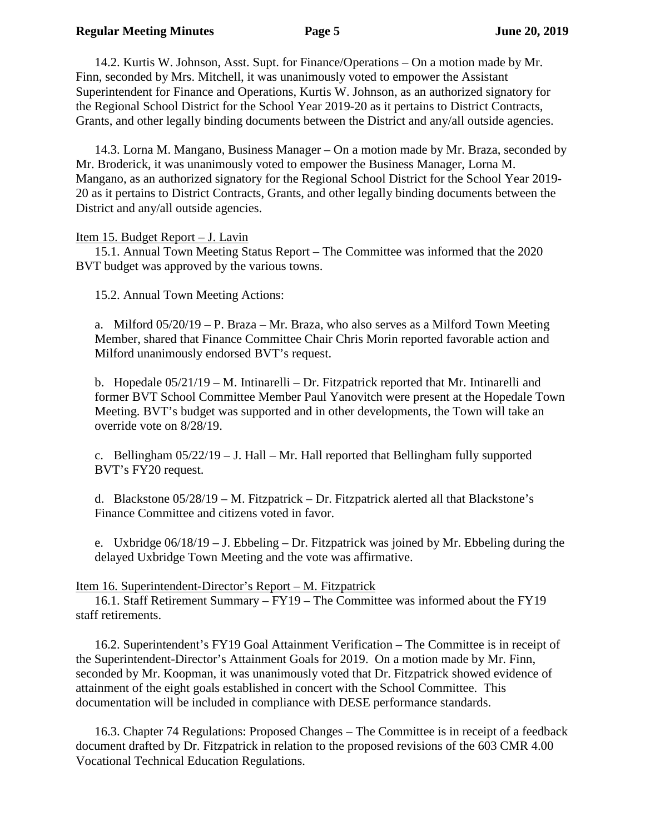#### **Regular Meeting Minutes Page 5 June 20, 2019**

14.2. Kurtis W. Johnson, Asst. Supt. for Finance/Operations – On a motion made by Mr. Finn, seconded by Mrs. Mitchell, it was unanimously voted to empower the Assistant Superintendent for Finance and Operations, Kurtis W. Johnson, as an authorized signatory for the Regional School District for the School Year 2019-20 as it pertains to District Contracts, Grants, and other legally binding documents between the District and any/all outside agencies.

14.3. Lorna M. Mangano, Business Manager – On a motion made by Mr. Braza, seconded by Mr. Broderick, it was unanimously voted to empower the Business Manager, Lorna M. Mangano, as an authorized signatory for the Regional School District for the School Year 2019- 20 as it pertains to District Contracts, Grants, and other legally binding documents between the District and any/all outside agencies.

#### Item 15. Budget Report – J. Lavin

15.1. Annual Town Meeting Status Report – The Committee was informed that the 2020 BVT budget was approved by the various towns.

15.2. Annual Town Meeting Actions:

a. Milford 05/20/19 – P. Braza – Mr. Braza, who also serves as a Milford Town Meeting Member, shared that Finance Committee Chair Chris Morin reported favorable action and Milford unanimously endorsed BVT's request.

b. Hopedale  $05/21/19 - M$ . Intinarelli – Dr. Fitzpatrick reported that Mr. Intinarelli and former BVT School Committee Member Paul Yanovitch were present at the Hopedale Town Meeting. BVT's budget was supported and in other developments, the Town will take an override vote on 8/28/19.

c. Bellingham  $05/22/19 - J$ . Hall – Mr. Hall reported that Bellingham fully supported BVT's FY20 request.

d. Blackstone 05/28/19 – M. Fitzpatrick – Dr. Fitzpatrick alerted all that Blackstone's Finance Committee and citizens voted in favor.

e. Uxbridge  $06/18/19 - J$ . Ebbeling – Dr. Fitzpatrick was joined by Mr. Ebbeling during the delayed Uxbridge Town Meeting and the vote was affirmative.

#### Item 16. Superintendent-Director's Report – M. Fitzpatrick

16.1. Staff Retirement Summary – FY19 – The Committee was informed about the FY19 staff retirements.

16.2. Superintendent's FY19 Goal Attainment Verification – The Committee is in receipt of the Superintendent-Director's Attainment Goals for 2019. On a motion made by Mr. Finn, seconded by Mr. Koopman, it was unanimously voted that Dr. Fitzpatrick showed evidence of attainment of the eight goals established in concert with the School Committee. This documentation will be included in compliance with DESE performance standards.

16.3. Chapter 74 Regulations: Proposed Changes – The Committee is in receipt of a feedback document drafted by Dr. Fitzpatrick in relation to the proposed revisions of the 603 CMR 4.00 Vocational Technical Education Regulations.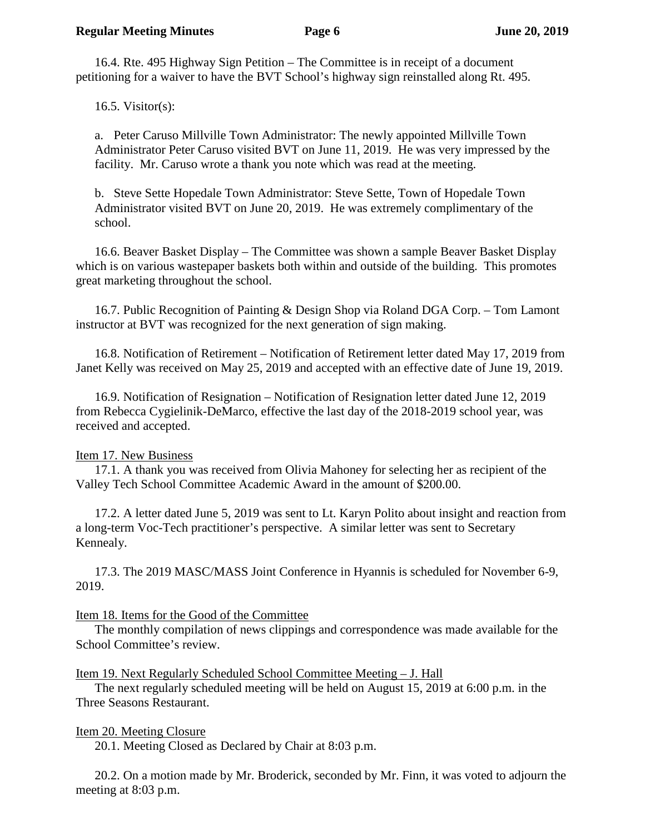16.4. Rte. 495 Highway Sign Petition – The Committee is in receipt of a document petitioning for a waiver to have the BVT School's highway sign reinstalled along Rt. 495.

16.5. Visitor(s):

a. Peter Caruso Millville Town Administrator: The newly appointed Millville Town Administrator Peter Caruso visited BVT on June 11, 2019. He was very impressed by the facility. Mr. Caruso wrote a thank you note which was read at the meeting.

b. Steve Sette Hopedale Town Administrator: Steve Sette, Town of Hopedale Town Administrator visited BVT on June 20, 2019. He was extremely complimentary of the school.

16.6. Beaver Basket Display – The Committee was shown a sample Beaver Basket Display which is on various wastepaper baskets both within and outside of the building. This promotes great marketing throughout the school.

16.7. Public Recognition of Painting & Design Shop via Roland DGA Corp. – Tom Lamont instructor at BVT was recognized for the next generation of sign making.

16.8. Notification of Retirement – Notification of Retirement letter dated May 17, 2019 from Janet Kelly was received on May 25, 2019 and accepted with an effective date of June 19, 2019.

16.9. Notification of Resignation – Notification of Resignation letter dated June 12, 2019 from Rebecca Cygielinik-DeMarco, effective the last day of the 2018-2019 school year, was received and accepted.

# Item 17. New Business

17.1. A thank you was received from Olivia Mahoney for selecting her as recipient of the Valley Tech School Committee Academic Award in the amount of \$200.00.

17.2. A letter dated June 5, 2019 was sent to Lt. Karyn Polito about insight and reaction from a long-term Voc-Tech practitioner's perspective. A similar letter was sent to Secretary Kennealy.

17.3. The 2019 MASC/MASS Joint Conference in Hyannis is scheduled for November 6-9, 2019.

## Item 18. Items for the Good of the Committee

The monthly compilation of news clippings and correspondence was made available for the School Committee's review.

## Item 19. Next Regularly Scheduled School Committee Meeting – J. Hall

The next regularly scheduled meeting will be held on August 15, 2019 at 6:00 p.m. in the Three Seasons Restaurant.

# Item 20. Meeting Closure

20.1. Meeting Closed as Declared by Chair at 8:03 p.m.

20.2. On a motion made by Mr. Broderick, seconded by Mr. Finn, it was voted to adjourn the meeting at 8:03 p.m.